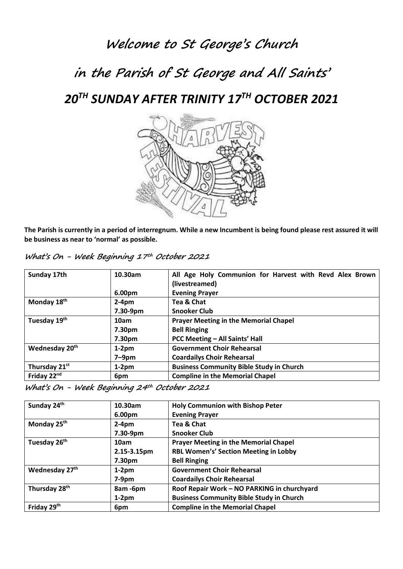### **Welcome to St George's Church**

# **in the Parish of St George and All Saints'**

### *20TH SUNDAY AFTER TRINITY 17TH OCTOBER 2021*



**The Parish is currently in a period of interregnum. While a new Incumbent is being found please rest assured it will be business as near to 'normal' as possible.**

| What's On - Week Beginning 17th October 2021 |  |  |  |  |  |
|----------------------------------------------|--|--|--|--|--|
|----------------------------------------------|--|--|--|--|--|

| Sunday 17th                | 10.30am  | All Age Holy Communion for Harvest with Revd Alex Brown<br>(livestreamed) |  |
|----------------------------|----------|---------------------------------------------------------------------------|--|
|                            | 6.00pm   | <b>Evening Prayer</b>                                                     |  |
| Monday 18th                | $2-4pm$  | Tea & Chat                                                                |  |
|                            | 7.30-9pm | <b>Snooker Club</b>                                                       |  |
| Tuesday 19th               | 10am     | <b>Prayer Meeting in the Memorial Chapel</b>                              |  |
|                            | 7.30pm   | <b>Bell Ringing</b>                                                       |  |
|                            | 7.30pm   | PCC Meeting - All Saints' Hall                                            |  |
| Wednesday 20 <sup>th</sup> | $1-2pm$  | <b>Government Choir Rehearsal</b>                                         |  |
|                            | $7-9$ pm | <b>Coardailys Choir Rehearsal</b>                                         |  |
| Thursday 21st              | $1-2pm$  | <b>Business Community Bible Study in Church</b>                           |  |
| Friday 22nd                | 6pm      | <b>Compline in the Memorial Chapel</b>                                    |  |

| What's On - Week Beginning 24th October 2021 |  |
|----------------------------------------------|--|
|                                              |  |

| Sunday 24th               | 10.30am            | <b>Holy Communion with Bishop Peter</b>         |
|---------------------------|--------------------|-------------------------------------------------|
|                           | 6.00 <sub>pm</sub> | <b>Evening Prayer</b>                           |
| Monday 25 <sup>th</sup>   | $2-4pm$            | Tea & Chat                                      |
|                           | 7.30-9pm           | <b>Snooker Club</b>                             |
| Tuesday 26 <sup>th</sup>  | 10am               | <b>Prayer Meeting in the Memorial Chapel</b>    |
|                           | 2.15-3.15pm        | RBL Women's' Section Meeting in Lobby           |
|                           | 7.30pm             | <b>Bell Ringing</b>                             |
| Wednesday 27th            | $1-2pm$            | <b>Government Choir Rehearsal</b>               |
|                           | $7-9pm$            | <b>Coardailys Choir Rehearsal</b>               |
| Thursday 28 <sup>th</sup> | 8am-6pm            | Roof Repair Work - NO PARKING in churchyard     |
|                           | $1-2pm$            | <b>Business Community Bible Study in Church</b> |
| Friday 29 <sup>th</sup>   | 6pm                | <b>Compline in the Memorial Chapel</b>          |
|                           |                    |                                                 |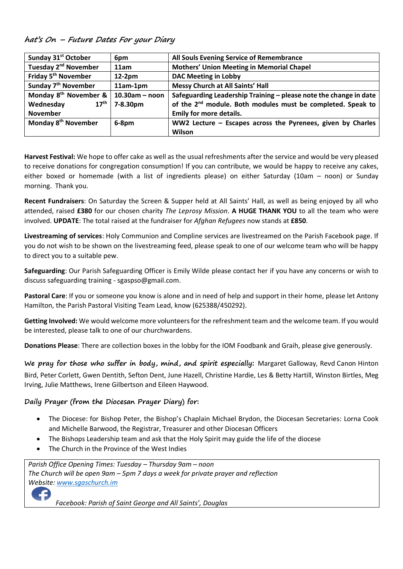**hat's On – Future Dates For your Diary**

| Sunday 31 <sup>st</sup> October             | 6pm               | All Souls Evening Service of Remembrance                                |  |
|---------------------------------------------|-------------------|-------------------------------------------------------------------------|--|
| Tuesday 2 <sup>nd</sup> November            | 11am              | <b>Mothers' Union Meeting in Memorial Chapel</b>                        |  |
| Friday 5 <sup>th</sup> November             | $12-2pm$          | <b>DAC Meeting in Lobby</b>                                             |  |
| Sunday 7 <sup>th</sup> November             | $11am-1pm$        | Messy Church at All Saints' Hall                                        |  |
| Monday 8 <sup>th</sup> November &           | $10.30$ am – noon | Safeguarding Leadership Training - please note the change in date       |  |
| $17^{\text{th}}$<br>Wednesday               | 7-8.30pm          | of the 2 <sup>nd</sup> module. Both modules must be completed. Speak to |  |
| <b>November</b>                             |                   | <b>Emily for more details.</b>                                          |  |
| Monday 8 <sup>th</sup> November<br>$6-8$ pm |                   | WW2 Lecture $-$ Escapes across the Pyrenees, given by Charles           |  |
|                                             |                   | Wilson                                                                  |  |

**Harvest Festival:** We hope to offer cake as well as the usual refreshments after the service and would be very pleased to receive donations for congregation consumption! If you can contribute, we would be happy to receive any cakes, either boxed or homemade (with a list of ingredients please) on either Saturday (10am – noon) or Sunday morning. Thank you.

**Recent Fundraisers**: On Saturday the Screen & Supper held at All Saints' Hall, as well as being enjoyed by all who attended, raised **£380** for our chosen charity *The Leprosy Mission*. **A HUGE THANK YOU** to all the team who were involved. **UPDATE**: The total raised at the fundraiser for *Afghan Refugees* now stands at **£850**.

**Livestreaming of services**: Holy Communion and Compline services are livestreamed on the Parish Facebook page. If you do not wish to be shown on the livestreaming feed, please speak to one of our welcome team who will be happy to direct you to a suitable pew.

**Safeguarding**: Our Parish Safeguarding Officer is Emily Wilde please contact her if you have any concerns or wish to discuss safeguarding training - sgaspso@gmail.com.

**Pastoral Care**: If you or someone you know is alone and in need of help and support in their home, please let Antony Hamilton, the Parish Pastoral Visiting Team Lead, know (625388/450292).

**Getting Involved:** We would welcome more volunteers for the refreshment team and the welcome team. If you would be interested, please talk to one of our churchwardens.

**Donations Please**: There are collection boxes in the lobby for the IOM Foodbank and Graih, please give generously.

**We pray for those who suffer in body, mind, and spirit especially:** Margaret Galloway, Revd Canon Hinton Bird, Peter Corlett, Gwen Dentith, Sefton Dent, June Hazell, Christine Hardie, Les & Betty Hartill, Winston Birtles, Meg Irving, Julie Matthews, Irene Gilbertson and Eileen Haywood.

#### **Daily Prayer (from the Diocesan Prayer Diary) for:**

- The Diocese: for Bishop Peter, the Bishop's Chaplain Michael Brydon, the Diocesan Secretaries: Lorna Cook and Michelle Barwood, the Registrar, Treasurer and other Diocesan Officers
- The Bishops Leadership team and ask that the Holy Spirit may guide the life of the diocese
- The Church in the Province of the West Indies

*Parish Office Opening Times: Tuesday – Thursday 9am – noon The Church will be open 9am – 5pm 7 days a week for private prayer and reflection Website[: www.sgaschurch.im](http://www.sgaschurch.im/)* £

 *Facebook: Parish of Saint George and All Saints', Douglas*